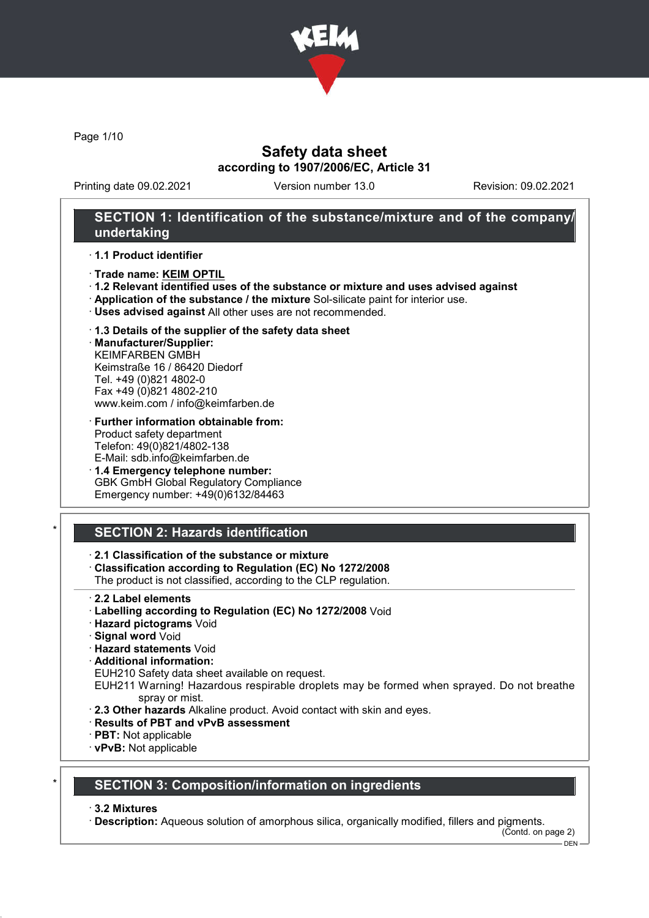

Page 1/10

## Safety data sheet according to 1907/2006/EC, Article 31

Printing date 09.02.2021 Version number 13.0 Revision: 09.02.2021

## SECTION 1: Identification of the substance/mixture and of the company/ undertaking

· 1.1 Product identifier

- · Trade name: KEIM OPTIL
- · 1.2 Relevant identified uses of the substance or mixture and uses advised against
- · Application of the substance / the mixture Sol-silicate paint for interior use.
- · Uses advised against All other uses are not recommended.
- · 1.3 Details of the supplier of the safety data sheet
- · Manufacturer/Supplier: KEIMFARBEN GMBH Keimstraße 16 / 86420 Diedorf Tel. +49 (0)821 4802-0 Fax +49 (0)821 4802-210 www.keim.com / info@keimfarben.de
- · Further information obtainable from: Product safety department Telefon: 49(0)821/4802-138 E-Mail: sdb.info@keimfarben.de
- · 1.4 Emergency telephone number: GBK GmbH Global Regulatory Compliance Emergency number: +49(0)6132/84463

# **SECTION 2: Hazards identification**

## · 2.1 Classification of the substance or mixture

· Classification according to Regulation (EC) No 1272/2008

The product is not classified, according to the CLP regulation.

- · 2.2 Label elements
- · Labelling according to Regulation (EC) No 1272/2008 Void
- · Hazard pictograms Void
- · Signal word Void
- · Hazard statements Void
- · Additional information:
- EUH210 Safety data sheet available on request.
- EUH211 Warning! Hazardous respirable droplets may be formed when sprayed. Do not breathe spray or mist.
- · 2.3 Other hazards Alkaline product. Avoid contact with skin and eyes.
- · Results of PBT and vPvB assessment
- · PBT: Not applicable
- · vPvB: Not applicable

# **SECTION 3: Composition/information on ingredients**

#### · 3.2 Mixtures

· Description: Aqueous solution of amorphous silica, organically modified, fillers and pigments.

(Contd. on page 2)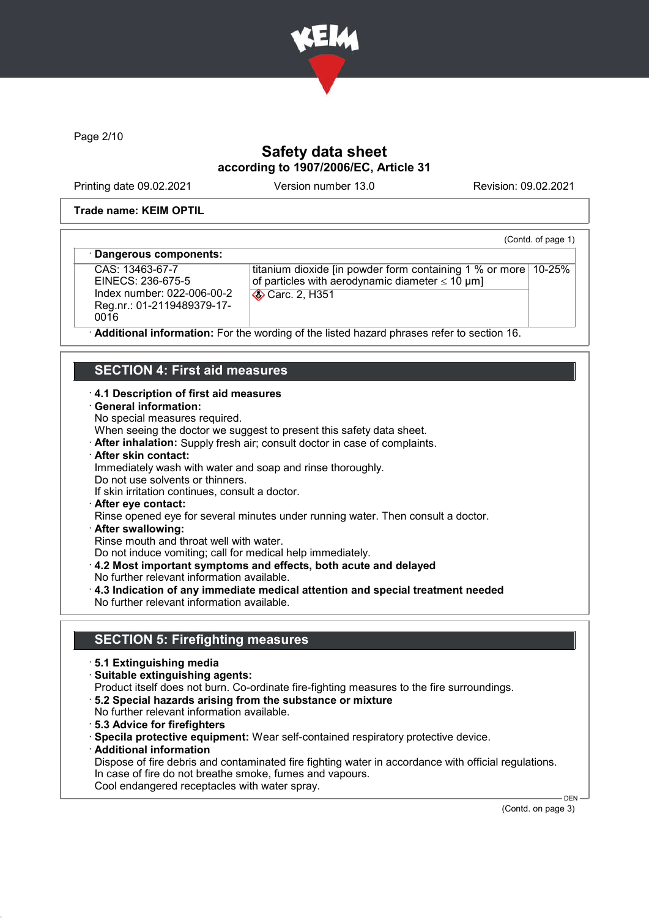

Page 2/10

# Safety data sheet according to 1907/2006/EC, Article 31

Printing date 09.02.2021 Version number 13.0 Revision: 09.02.2021

(Contd. of page 1)

#### Trade name: KEIM OPTIL

#### Dangerous components:

CAS: 13463-67-7 EINECS: 236-675-5 Index number: 022-006-00-2 Reg.nr.: 01-2119489379-17- 0016

titanium dioxide [in powder form containing 1 % or more 10-25% of particles with aerodynamic diameter  $\leq 10 \text{ }\mu\text{m}$ ] **Carc. 2, H351** 

Additional information: For the wording of the listed hazard phrases refer to section 16.

## SECTION 4: First aid measures

#### · 4.1 Description of first aid measures

#### · General information:

No special measures required.

When seeing the doctor we suggest to present this safety data sheet.

- · After inhalation: Supply fresh air; consult doctor in case of complaints.
- · After skin contact:

Immediately wash with water and soap and rinse thoroughly.

Do not use solvents or thinners.

If skin irritation continues, consult a doctor.

· After eye contact:

Rinse opened eye for several minutes under running water. Then consult a doctor.

· After swallowing:

Rinse mouth and throat well with water.

Do not induce vomiting; call for medical help immediately.

- · 4.2 Most important symptoms and effects, both acute and delayed
- No further relevant information available.
- · 4.3 Indication of any immediate medical attention and special treatment needed No further relevant information available.

## SECTION 5: Firefighting measures

- · 5.1 Extinguishing media
- · Suitable extinguishing agents:
- Product itself does not burn. Co-ordinate fire-fighting measures to the fire surroundings.
- · 5.2 Special hazards arising from the substance or mixture
- No further relevant information available.
- · 5.3 Advice for firefighters
- · Specila protective equipment: Wear self-contained respiratory protective device.
- · Additional information

Dispose of fire debris and contaminated fire fighting water in accordance with official regulations. In case of fire do not breathe smoke, fumes and vapours. Cool endangered receptacles with water spray.

(Contd. on page 3)

DEN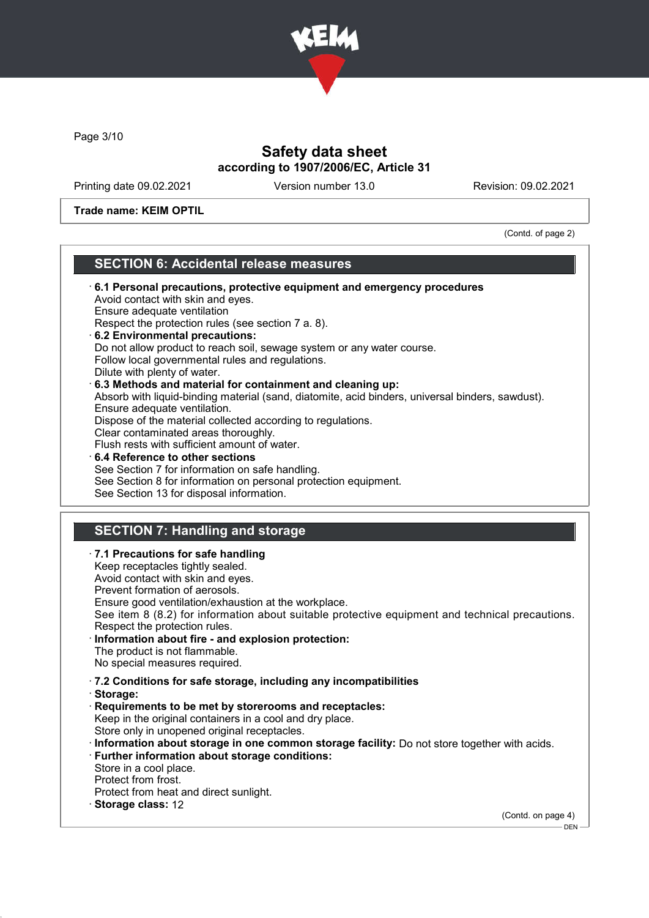

Page 3/10

ſ

# Safety data sheet according to 1907/2006/EC, Article 31

Printing date 09.02.2021 Version number 13.0 Revision: 09.02.2021

Trade name: KEIM OPTIL

(Contd. of page 2)

# SECTION 6: Accidental release measures

| See item 8 (8.2) for information about suitable protective equipment and technical precautions. |
|-------------------------------------------------------------------------------------------------|
| (Contd. on page 4)                                                                              |
|                                                                                                 |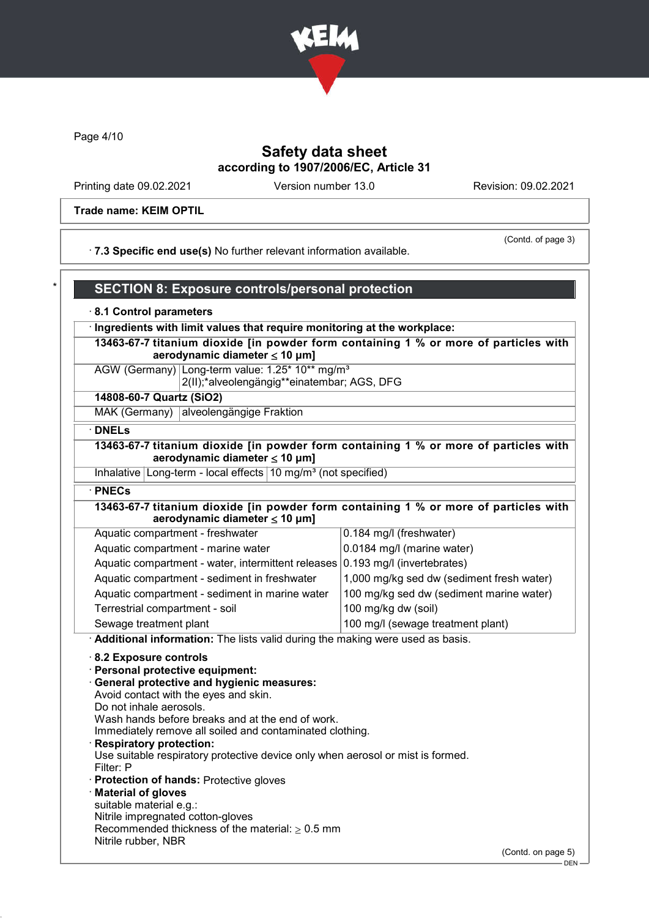

Page 4/10

# Safety data sheet according to 1907/2006/EC, Article 31

Printing date 09.02.2021 Version number 13.0 Revision: 09.02.2021

Trade name: KEIM OPTIL

(Contd. of page 3)

· 7.3 Specific end use(s) No further relevant information available.

|  | SECTION 8: Exposure controls/personal protection |
|--|--------------------------------------------------|
|  |                                                  |

### · 8.1 Control parameters

· Ingredients with limit values that require monitoring at the workplace:

13463-67-7 titanium dioxide [in powder form containing 1 % or more of particles with aerodynamic diameter  $\leq 10 \mu m$ ]

AGW (Germany) Long-term value: 1.25\* 10\*\* mg/m<sup>3</sup> 2(II);\*alveolengängig\*\*einatembar; AGS, DFG

14808-60-7 Quartz (SiO2)

MAK (Germany) alveolengängige Fraktion

· DNELs

13463-67-7 titanium dioxide [in powder form containing 1 % or more of particles with aerodynamic diameter ≤ 10 μm]

Inhalative Long-term - local effects  $10 \text{ mg/m}^3$  (not specified)

· PNECs

13463-67-7 titanium dioxide [in powder form containing 1 % or more of particles with aerodynamic diameter  $\leq 10 \mu m$ ]

| Aquatic compartment - freshwater                                              | 0.184 mg/l (freshwater)                   |
|-------------------------------------------------------------------------------|-------------------------------------------|
| Aquatic compartment - marine water                                            | 0.0184 mg/l (marine water)                |
| Aquatic compartment - water, intermittent releases 0.193 mg/l (invertebrates) |                                           |
| Aquatic compartment - sediment in freshwater                                  | 1,000 mg/kg sed dw (sediment fresh water) |
| Aquatic compartment - sediment in marine water                                | 100 mg/kg sed dw (sediment marine water)  |
| Terrestrial compartment - soil                                                | 100 mg/kg dw (soil)                       |
| Sewage treatment plant                                                        | 100 mg/l (sewage treatment plant)         |

· Additional information: The lists valid during the making were used as basis.

· 8.2 Exposure controls

- · Personal protective equipment:
- · General protective and hygienic measures: Avoid contact with the eyes and skin.
- Do not inhale aerosols.

Wash hands before breaks and at the end of work.

Immediately remove all soiled and contaminated clothing.

Respiratory protection:

Use suitable respiratory protective device only when aerosol or mist is formed. Filter: P

- · Protection of hands: Protective gloves
- · Material of gloves
- suitable material e.g.:
- Nitrile impregnated cotton-gloves
- Recommended thickness of the material:  $\geq 0.5$  mm Nitrile rubber, NBR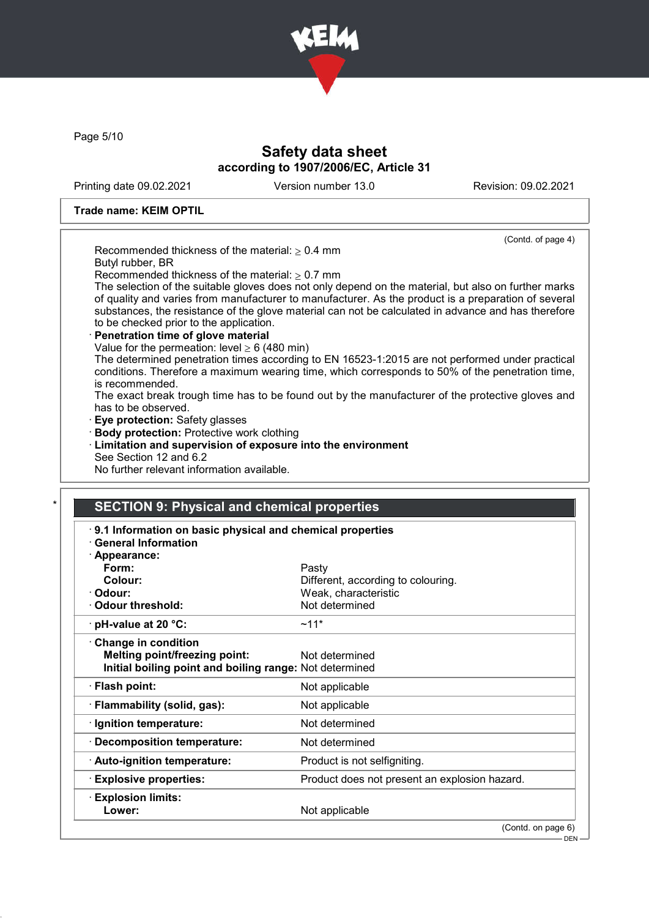

Page 5/10

# Safety data sheet according to 1907/2006/EC, Article 31

Printing date 09.02.2021 Version number 13.0 Revision: 09.02.2021

DEN

### Trade name: KEIM OPTIL

|                                                                                                      | (Contd. of page 4) |
|------------------------------------------------------------------------------------------------------|--------------------|
| Recommended thickness of the material: $> 0.4$ mm                                                    |                    |
| Butyl rubber, BR                                                                                     |                    |
| Recommended thickness of the material: $\geq 0.7$ mm                                                 |                    |
| The selection of the suitable gloves does not only depend on the material, but also on further marks |                    |
| of quality and varies from manufacturer to manufacturer. As the product is a preparation of several  |                    |
| substances, the resistance of the glove material can not be calculated in advance and has therefore  |                    |
| to be checked prior to the application.                                                              |                    |
| Penetration time of glove material                                                                   |                    |
| Value for the permeation: level $\geq 6$ (480 min)                                                   |                    |
| The determined penetration times according to EN 16523-1:2015 are not performed under practical      |                    |
| conditions. Therefore a maximum wearing time, which corresponds to 50% of the penetration time,      |                    |
| is recommended.                                                                                      |                    |
| The exact break trough time has to be found out by the manufacturer of the protective gloves and     |                    |
| has to be observed.                                                                                  |                    |
| · Eye protection: Safety glasses                                                                     |                    |
| · Body protection: Protective work clothing                                                          |                    |
| <b>Limitation and supervision of exposure into the environment</b>                                   |                    |
| See Section 12 and 6.2                                                                               |                    |
| No further relevant information available.                                                           |                    |

### SECTION 9: Physical and chemical properties

| 9.1 Information on basic physical and chemical properties<br><b>General Information</b> |                                               |  |
|-----------------------------------------------------------------------------------------|-----------------------------------------------|--|
| · Appearance:                                                                           |                                               |  |
| Form:                                                                                   | Pasty                                         |  |
| Colour:                                                                                 | Different, according to colouring.            |  |
| · Odour:                                                                                | Weak, characteristic                          |  |
| Odour threshold:                                                                        | Not determined                                |  |
| $\cdot$ pH-value at 20 °C:                                                              | $~11*$                                        |  |
| Change in condition                                                                     |                                               |  |
| <b>Melting point/freezing point:</b>                                                    | Not determined                                |  |
| Initial boiling point and boiling range: Not determined                                 |                                               |  |
| · Flash point:                                                                          | Not applicable                                |  |
| · Flammability (solid, gas):                                                            | Not applicable                                |  |
| · Ignition temperature:                                                                 | Not determined                                |  |
| Decomposition temperature:                                                              | Not determined                                |  |
| · Auto-ignition temperature:                                                            | Product is not selfigniting.                  |  |
| $\cdot$ Explosive properties:                                                           | Product does not present an explosion hazard. |  |
| $\cdot$ Explosion limits:                                                               |                                               |  |
| Lower:                                                                                  | Not applicable                                |  |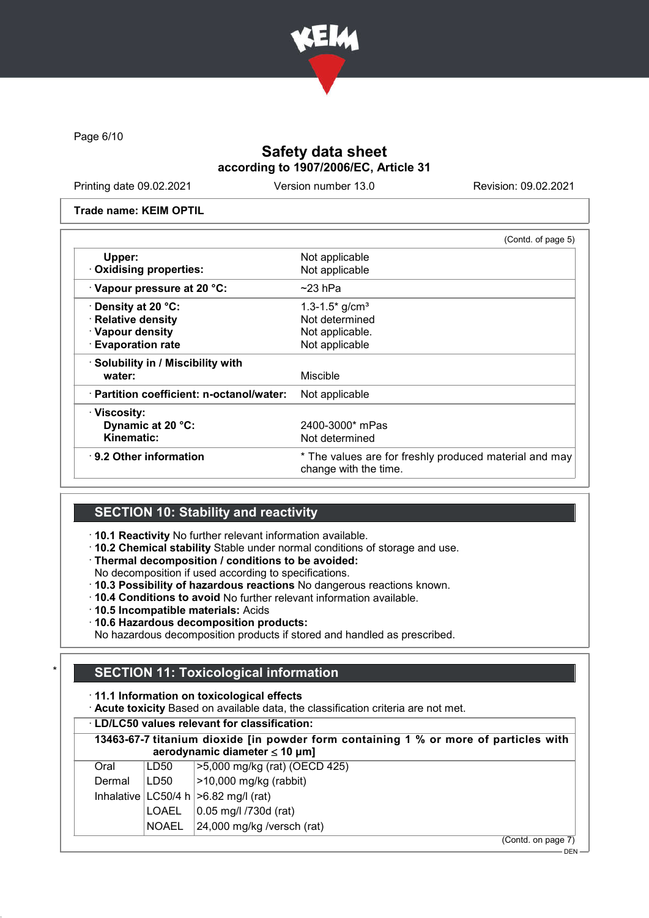

Page 6/10

# Safety data sheet according to 1907/2006/EC, Article 31

Printing date 09.02.2021 Version number 13.0 Revision: 09.02.2021

Trade name: KEIM OPTIL

| (Contd. of page 5)                                                              |
|---------------------------------------------------------------------------------|
| Not applicable                                                                  |
| Not applicable                                                                  |
| $\sim$ 23 hPa                                                                   |
| 1.3-1.5 $*$ g/cm <sup>3</sup>                                                   |
| Not determined                                                                  |
| Not applicable.                                                                 |
| Not applicable                                                                  |
|                                                                                 |
| Miscible                                                                        |
| Not applicable                                                                  |
|                                                                                 |
| 2400-3000* mPas                                                                 |
| Not determined                                                                  |
| * The values are for freshly produced material and may<br>change with the time. |
|                                                                                 |

## SECTION 10: Stability and reactivity

· 10.1 Reactivity No further relevant information available.

- · 10.2 Chemical stability Stable under normal conditions of storage and use.
- · Thermal decomposition / conditions to be avoided:
- No decomposition if used according to specifications.
- · 10.3 Possibility of hazardous reactions No dangerous reactions known.
- · 10.4 Conditions to avoid No further relevant information available.
- · 10.5 Incompatible materials: Acids
- · 10.6 Hazardous decomposition products:

No hazardous decomposition products if stored and handled as prescribed.

# **SECTION 11: Toxicological information**

· 11.1 Information on toxicological effects

· Acute toxicity Based on available data, the classification criteria are not met.

|        | <b>LD/LC50 values relevant for classification:</b>                                                                         |                                           |  |  |  |
|--------|----------------------------------------------------------------------------------------------------------------------------|-------------------------------------------|--|--|--|
|        | 13463-67-7 titanium dioxide [in powder form containing 1 % or more of particles with<br>aerodynamic diameter $\leq 10$ µm] |                                           |  |  |  |
| Oral   | LD50                                                                                                                       | >5,000 mg/kg (rat) (OECD 425)             |  |  |  |
| Dermal | LD50                                                                                                                       | $>10,000$ mg/kg (rabbit)                  |  |  |  |
|        |                                                                                                                            | Inhalative $ LC50/4 h  > 6.82 mg/l$ (rat) |  |  |  |
|        | LOAEL                                                                                                                      | 0.05 mg/l /730d (rat)                     |  |  |  |
|        | <b>NOAEL</b>                                                                                                               | 24,000 mg/kg /versch (rat)                |  |  |  |
|        |                                                                                                                            | $(Contd)$ on naga $7$ )                   |  |  |  |

(Contd. on page 7)

 $-$  DEN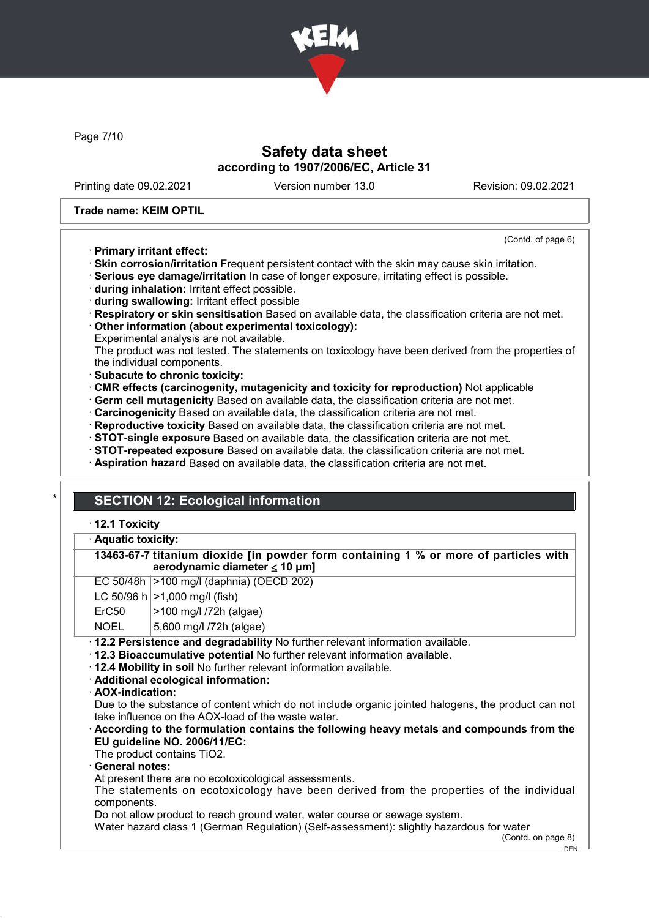

Page 7/10

## Safety data sheet according to 1907/2006/EC, Article 31

Printing date 09.02.2021 Version number 13.0 Revision: 09.02.2021

(Contd. of page 6)

### Trade name: KEIM OPTIL

### · Primary irritant effect:

· Skin corrosion/irritation Frequent persistent contact with the skin may cause skin irritation.

· Serious eye damage/irritation In case of longer exposure, irritating effect is possible.

- · during inhalation: Irritant effect possible.
- · during swallowing: Irritant effect possible
- · Respiratory or skin sensitisation Based on available data, the classification criteria are not met.

· Other information (about experimental toxicology):

Experimental analysis are not available.

The product was not tested. The statements on toxicology have been derived from the properties of the individual components.

- · Subacute to chronic toxicity:
- · CMR effects (carcinogenity, mutagenicity and toxicity for reproduction) Not applicable
- · Germ cell mutagenicity Based on available data, the classification criteria are not met.
- · Carcinogenicity Based on available data, the classification criteria are not met.
- · Reproductive toxicity Based on available data, the classification criteria are not met.
- · STOT-single exposure Based on available data, the classification criteria are not met.
- · STOT-repeated exposure Based on available data, the classification criteria are not met.
- · Aspiration hazard Based on available data, the classification criteria are not met.

# **SECTION 12: Ecological information**

### · 12.1 Toxicity

#### Aquatic toxicity:

| 13463-67-7 titanium dioxide [in powder form containing 1 % or more of particles with |  |  |  |
|--------------------------------------------------------------------------------------|--|--|--|
| aerodynamic diameter $\leq 10 \mu m$ ]                                               |  |  |  |

| EC 50/48h  >100 mg/l (daphnia) (OECD 202) |  |  |  |
|-------------------------------------------|--|--|--|
|-------------------------------------------|--|--|--|

|  | LC 50/96 h $ >1,000$ mg/l (fish) |
|--|----------------------------------|
|--|----------------------------------|

ErC50 >100 mg/l /72h (algae)

NOEL 5,600 mg/l /72h (algae)

· 12.2 Persistence and degradability No further relevant information available.

· 12.3 Bioaccumulative potential No further relevant information available.

· 12.4 Mobility in soil No further relevant information available.

· Additional ecological information:

· AOX-indication:

Due to the substance of content which do not include organic jointed halogens, the product can not take influence on the AOX-load of the waste water.

### · According to the formulation contains the following heavy metals and compounds from the EU guideline NO. 2006/11/EC:

The product contains TiO2.

General notes:

At present there are no ecotoxicological assessments.

The statements on ecotoxicology have been derived from the properties of the individual components.

Do not allow product to reach ground water, water course or sewage system.

Water hazard class 1 (German Regulation) (Self-assessment): slightly hazardous for water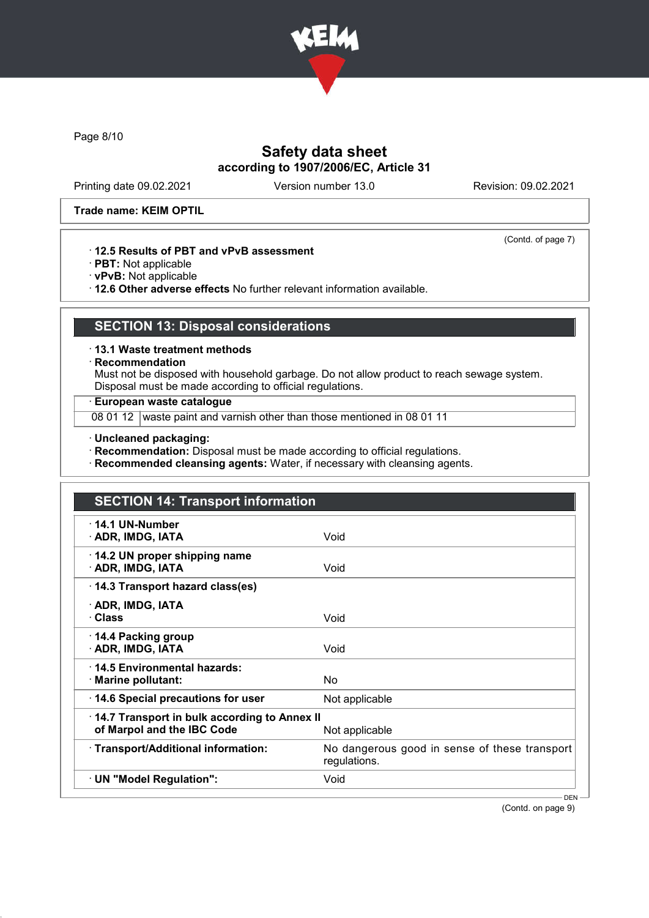

Page 8/10

# Safety data sheet according to 1907/2006/EC, Article 31

Printing date 09.02.2021 Version number 13.0 Revision: 09.02.2021

(Contd. of page 7)

#### Trade name: KEIM OPTIL

### · 12.5 Results of PBT and vPvB assessment

- · PBT: Not applicable
- · vPvB: Not applicable
- · 12.6 Other adverse effects No further relevant information available.

# SECTION 13: Disposal considerations

· 13.1 Waste treatment methods

· Recommendation

Must not be disposed with household garbage. Do not allow product to reach sewage system. Disposal must be made according to official regulations.

### · European waste catalogue

08 01 12 waste paint and varnish other than those mentioned in 08 01 11

· Uncleaned packaging:

· Recommendation: Disposal must be made according to official regulations.

· Recommended cleansing agents: Water, if necessary with cleansing agents.

| <b>SECTION 14: Transport information</b>                                   |                                                               |  |  |
|----------------------------------------------------------------------------|---------------------------------------------------------------|--|--|
| $\cdot$ 14.1 UN-Number<br>· ADR, IMDG, IATA                                | Void                                                          |  |  |
| 14.2 UN proper shipping name<br>· ADR, IMDG, IATA                          | Void                                                          |  |  |
| 14.3 Transport hazard class(es)                                            |                                                               |  |  |
| · ADR, IMDG, IATA<br>· Class                                               | Void                                                          |  |  |
| 14.4 Packing group<br>· ADR, IMDG, IATA                                    | Void                                                          |  |  |
| ⋅14.5 Environmental hazards:<br>· Marine pollutant:                        | No.                                                           |  |  |
| 14.6 Special precautions for user                                          | Not applicable                                                |  |  |
| 14.7 Transport in bulk according to Annex II<br>of Marpol and the IBC Code | Not applicable                                                |  |  |
| · Transport/Additional information:                                        | No dangerous good in sense of these transport<br>regulations. |  |  |
| · UN "Model Regulation":                                                   | Void                                                          |  |  |

(Contd. on page 9)

DEN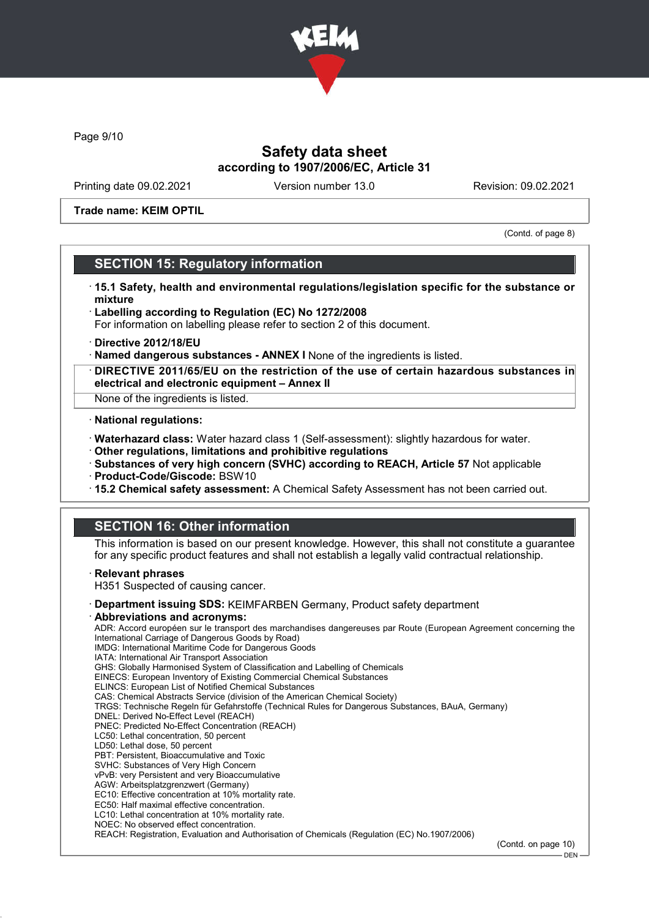

Page 9/10

## Safety data sheet according to 1907/2006/EC, Article 31

Printing date 09.02.2021 Version number 13.0 Revision: 09.02.2021

Trade name: KEIM OPTIL

(Contd. of page 8)

## SECTION 15: Regulatory information

- · 15.1 Safety, health and environmental regulations/legislation specific for the substance or mixture
- · Labelling according to Regulation (EC) No 1272/2008 For information on labelling please refer to section 2 of this document.
- · Directive 2012/18/EU
- · Named dangerous substances ANNEX I None of the ingredients is listed.
- · DIRECTIVE 2011/65/EU on the restriction of the use of certain hazardous substances in electrical and electronic equipment – Annex II
- None of the ingredients is listed.

#### · National regulations:

- · Waterhazard class: Water hazard class 1 (Self-assessment): slightly hazardous for water.
- · Other regulations, limitations and prohibitive regulations
- · Substances of very high concern (SVHC) according to REACH, Article 57 Not applicable
- · Product-Code/Giscode: BSW10
- · 15.2 Chemical safety assessment: A Chemical Safety Assessment has not been carried out.

# SECTION 16: Other information

This information is based on our present knowledge. However, this shall not constitute a guarantee for any specific product features and shall not establish a legally valid contractual relationship.

#### **Relevant phrases**

H351 Suspected of causing cancer.

- · Department issuing SDS: KEIMFARBEN Germany, Product safety department
- Abbreviations and acronyms:

ADR: Accord européen sur le transport des marchandises dangereuses par Route (European Agreement concerning the International Carriage of Dangerous Goods by Road) IMDG: International Maritime Code for Dangerous Goods IATA: International Air Transport Association GHS: Globally Harmonised System of Classification and Labelling of Chemicals EINECS: European Inventory of Existing Commercial Chemical Substances ELINCS: European List of Notified Chemical Substances CAS: Chemical Abstracts Service (division of the American Chemical Society) TRGS: Technische Regeln für Gefahrstoffe (Technical Rules for Dangerous Substances, BAuA, Germany) DNEL: Derived No-Effect Level (REACH) PNEC: Predicted No-Effect Concentration (REACH) LC50: Lethal concentration, 50 percent LD50: Lethal dose, 50 percent PBT: Persistent, Bioaccumulative and Toxic SVHC: Substances of Very High Concern

- vPvB: very Persistent and very Bioaccumulative
- AGW: Arbeitsplatzgrenzwert (Germany)
- EC10: Effective concentration at 10% mortality rate.
- EC50: Half maximal effective concentration. LC10: Lethal concentration at 10% mortality rate.
- NOEC: No observed effect concentration.

REACH: Registration, Evaluation and Authorisation of Chemicals (Regulation (EC) No.1907/2006)

(Contd. on page 10)

DEN